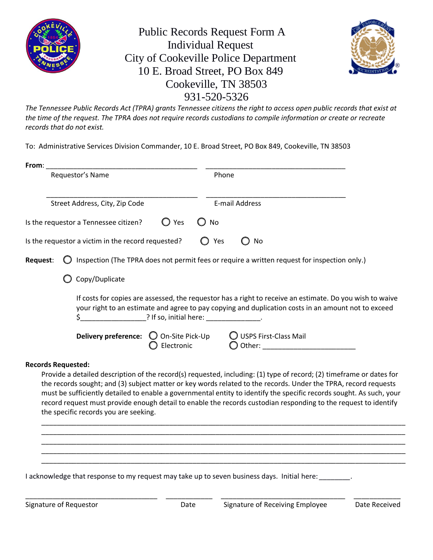

Public Records Request Form A Individual Request City of Cookeville Police Department 10 E. Broad Street, PO Box 849 Cookeville, TN 38503 931-520-5326



*The Tennessee Public Records Act (TPRA) grants Tennessee citizens the right to access open public records that exist at the time of the request. The TPRA does not require records custodians to compile information or create or recreate records that do not exist.*

To: Administrative Services Division Commander, 10 E. Broad Street, PO Box 849, Cookeville, TN 38503

| From:                                                                                                                                                                                                                                                        |                                                                                |       |     |                                                                                                                                                                                                                                                                                                                                                                                                                                                                                    |               |  |  |
|--------------------------------------------------------------------------------------------------------------------------------------------------------------------------------------------------------------------------------------------------------------|--------------------------------------------------------------------------------|-------|-----|------------------------------------------------------------------------------------------------------------------------------------------------------------------------------------------------------------------------------------------------------------------------------------------------------------------------------------------------------------------------------------------------------------------------------------------------------------------------------------|---------------|--|--|
| Requestor's Name                                                                                                                                                                                                                                             |                                                                                |       |     | Phone                                                                                                                                                                                                                                                                                                                                                                                                                                                                              |               |  |  |
|                                                                                                                                                                                                                                                              |                                                                                |       |     |                                                                                                                                                                                                                                                                                                                                                                                                                                                                                    |               |  |  |
| Street Address, City, Zip Code                                                                                                                                                                                                                               |                                                                                |       |     | <b>E-mail Address</b>                                                                                                                                                                                                                                                                                                                                                                                                                                                              |               |  |  |
|                                                                                                                                                                                                                                                              | Is the requestor a Tennessee citizen?                                          | ◯ Yes | No  |                                                                                                                                                                                                                                                                                                                                                                                                                                                                                    |               |  |  |
|                                                                                                                                                                                                                                                              | Is the requestor a victim in the record requested?                             |       | Yes | No                                                                                                                                                                                                                                                                                                                                                                                                                                                                                 |               |  |  |
| Request:                                                                                                                                                                                                                                                     |                                                                                |       |     | Inspection (The TPRA does not permit fees or require a written request for inspection only.)                                                                                                                                                                                                                                                                                                                                                                                       |               |  |  |
|                                                                                                                                                                                                                                                              | Copy/Duplicate                                                                 |       |     |                                                                                                                                                                                                                                                                                                                                                                                                                                                                                    |               |  |  |
| If costs for copies are assessed, the requestor has a right to receive an estimate. Do you wish to waive<br>your right to an estimate and agree to pay copying and duplication costs in an amount not to exceed<br>2 If so, initial here: 19 Production 2016 |                                                                                |       |     |                                                                                                                                                                                                                                                                                                                                                                                                                                                                                    |               |  |  |
|                                                                                                                                                                                                                                                              | Delivery preference:  Q On-Site Pick-Up  Q USPS First-Class Mail<br>Electronic |       |     |                                                                                                                                                                                                                                                                                                                                                                                                                                                                                    |               |  |  |
| <b>Records Requested:</b>                                                                                                                                                                                                                                    |                                                                                |       |     |                                                                                                                                                                                                                                                                                                                                                                                                                                                                                    |               |  |  |
|                                                                                                                                                                                                                                                              | the specific records you are seeking.                                          |       |     | Provide a detailed description of the record(s) requested, including: (1) type of record; (2) timeframe or dates for<br>the records sought; and (3) subject matter or key words related to the records. Under the TPRA, record requests<br>must be sufficiently detailed to enable a governmental entity to identify the specific records sought. As such, your<br>record request must provide enough detail to enable the records custodian responding to the request to identify |               |  |  |
|                                                                                                                                                                                                                                                              |                                                                                |       |     |                                                                                                                                                                                                                                                                                                                                                                                                                                                                                    |               |  |  |
|                                                                                                                                                                                                                                                              |                                                                                |       |     |                                                                                                                                                                                                                                                                                                                                                                                                                                                                                    |               |  |  |
|                                                                                                                                                                                                                                                              |                                                                                |       |     | I acknowledge that response to my request may take up to seven business days. Initial here: _______.                                                                                                                                                                                                                                                                                                                                                                               |               |  |  |
| Signature of Requestor                                                                                                                                                                                                                                       |                                                                                | Date  |     | Signature of Receiving Employee                                                                                                                                                                                                                                                                                                                                                                                                                                                    | Date Received |  |  |